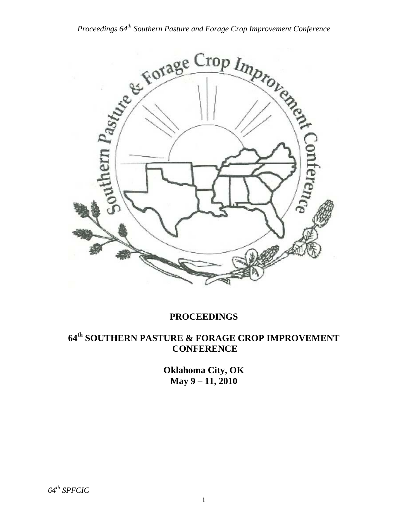

## **PROCEEDINGS**

## **64th SOUTHERN PASTURE & FORAGE CROP IMPROVEMENT CONFERENCE**

**Oklahoma City, OK May 9 – 11, 2010**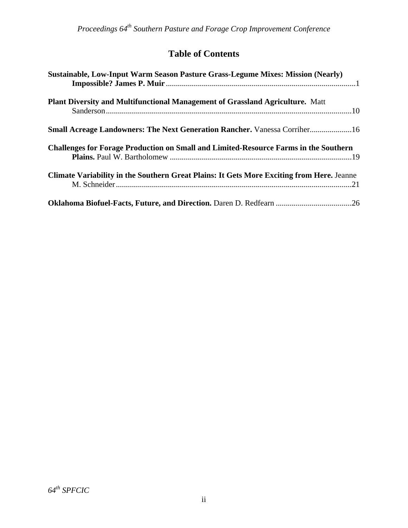# **Table of Contents**

| Sustainable, Low-Input Warm Season Pasture Grass-Legume Mixes: Mission (Nearly)                  |  |
|--------------------------------------------------------------------------------------------------|--|
| Plant Diversity and Multifunctional Management of Grassland Agriculture. Matt                    |  |
| <b>Small Acreage Landowners: The Next Generation Rancher.</b> Vanessa Corriher16                 |  |
| <b>Challenges for Forage Production on Small and Limited-Resource Farms in the Southern</b>      |  |
| <b>Climate Variability in the Southern Great Plains: It Gets More Exciting from Here.</b> Jeanne |  |
| Oklahoma Biofuel-Facts, Future, and Direction. Daren D. Redfearn 26                              |  |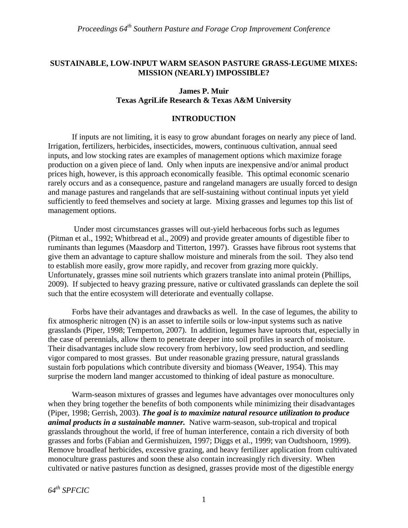### **SUSTAINABLE, LOW-INPUT WARM SEASON PASTURE GRASS-LEGUME MIXES: MISSION (NEARLY) IMPOSSIBLE?**

### **James P. Muir Texas AgriLife Research & Texas A&M University**

### **INTRODUCTION**

 If inputs are not limiting, it is easy to grow abundant forages on nearly any piece of land. Irrigation, fertilizers, herbicides, insecticides, mowers, continuous cultivation, annual seed inputs, and low stocking rates are examples of management options which maximize forage production on a given piece of land. Only when inputs are inexpensive and/or animal product prices high, however, is this approach economically feasible. This optimal economic scenario rarely occurs and as a consequence, pasture and rangeland managers are usually forced to design and manage pastures and rangelands that are self-sustaining without continual inputs yet yield sufficiently to feed themselves and society at large. Mixing grasses and legumes top this list of management options.

 Under most circumstances grasses will out-yield herbaceous forbs such as legumes (Pitman et al., 1992; Whitbread et al., 2009) and provide greater amounts of digestible fiber to ruminants than legumes (Maasdorp and Titterton, 1997). Grasses have fibrous root systems that give them an advantage to capture shallow moisture and minerals from the soil. They also tend to establish more easily, grow more rapidly, and recover from grazing more quickly. Unfortunately, grasses mine soil nutrients which grazers translate into animal protein (Phillips, 2009). If subjected to heavy grazing pressure, native or cultivated grasslands can deplete the soil such that the entire ecosystem will deteriorate and eventually collapse.

 Forbs have their advantages and drawbacks as well. In the case of legumes, the ability to fix atmospheric nitrogen (N) is an asset to infertile soils or low-input systems such as native grasslands (Piper, 1998; Temperton, 2007). In addition, legumes have taproots that, especially in the case of perennials, allow them to penetrate deeper into soil profiles in search of moisture. Their disadvantages include slow recovery from herbivory, low seed production, and seedling vigor compared to most grasses. But under reasonable grazing pressure, natural grasslands sustain forb populations which contribute diversity and biomass (Weaver, 1954). This may surprise the modern land manger accustomed to thinking of ideal pasture as monoculture.

 Warm-season mixtures of grasses and legumes have advantages over monocultures only when they bring together the benefits of both components while minimizing their disadvantages (Piper, 1998; Gerrish, 2003). *The goal is to maximize natural resource utilization to produce animal products in a sustainable manner.* Native warm-season, sub-tropical and tropical grasslands throughout the world, if free of human interference, contain a rich diversity of both grasses and forbs (Fabian and Germishuizen, 1997; Diggs et al., 1999; van Oudtshoorn, 1999). Remove broadleaf herbicides, excessive grazing, and heavy fertilizer application from cultivated monoculture grass pastures and soon these also contain increasingly rich diversity. When cultivated or native pastures function as designed, grasses provide most of the digestible energy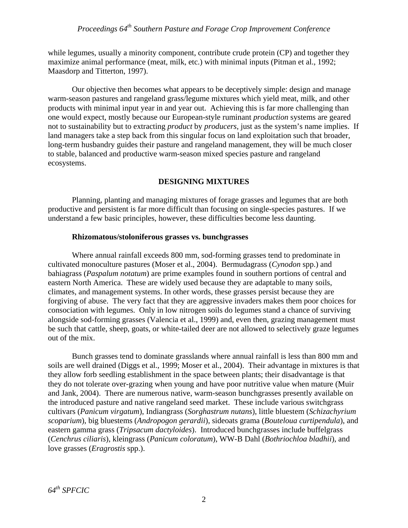while legumes, usually a minority component, contribute crude protein (CP) and together they maximize animal performance (meat, milk, etc.) with minimal inputs (Pitman et al., 1992; Maasdorp and Titterton, 1997).

 Our objective then becomes what appears to be deceptively simple: design and manage warm-season pastures and rangeland grass/legume mixtures which yield meat, milk, and other products with minimal input year in and year out. Achieving this is far more challenging than one would expect, mostly because our European-style ruminant *production* systems are geared not to sustainability but to extracting *product* by *producers*, just as the system's name implies. If land managers take a step back from this singular focus on land exploitation such that broader, long-term husbandry guides their pasture and rangeland management, they will be much closer to stable, balanced and productive warm-season mixed species pasture and rangeland ecosystems.

### **DESIGNING MIXTURES**

 Planning, planting and managing mixtures of forage grasses and legumes that are both productive and persistent is far more difficult than focusing on single-species pastures. If we understand a few basic principles, however, these difficulties become less daunting.

#### **Rhizomatous/stoloniferous grasses vs. bunchgrasses**

 Where annual rainfall exceeds 800 mm, sod-forming grasses tend to predominate in cultivated monoculture pastures (Moser et al., 2004). Bermudagrass (*Cynodon* spp.) and bahiagrass (*Paspalum notatum*) are prime examples found in southern portions of central and eastern North America. These are widely used because they are adaptable to many soils, climates, and management systems. In other words, these grasses persist because they are forgiving of abuse. The very fact that they are aggressive invaders makes them poor choices for consociation with legumes. Only in low nitrogen soils do legumes stand a chance of surviving alongside sod-forming grasses (Valencia et al., 1999) and, even then, grazing management must be such that cattle, sheep, goats, or white-tailed deer are not allowed to selectively graze legumes out of the mix.

Bunch grasses tend to dominate grasslands where annual rainfall is less than 800 mm and soils are well drained (Diggs et al., 1999; Moser et al., 2004). Their advantage in mixtures is that they allow forb seedling establishment in the space between plants; their disadvantage is that they do not tolerate over-grazing when young and have poor nutritive value when mature (Muir and Jank, 2004). There are numerous native, warm-season bunchgrasses presently available on the introduced pasture and native rangeland seed market. These include various switchgrass cultivars (*Panicum virgatum*), Indiangrass (*Sorghastrum nutans*), little bluestem (*Schizachyrium scoparium*), big bluestems (*Andropogon gerardii*), sideoats grama (*Bouteloua curtipendula*), and eastern gamma grass (*Tripsacum dactyloides*). Introduced bunchgrasses include buffelgrass (*Cenchrus ciliaris*), kleingrass (*Panicum coloratum*), WW-B Dahl (*Bothriochloa bladhii*), and love grasses (*Eragrostis* spp.).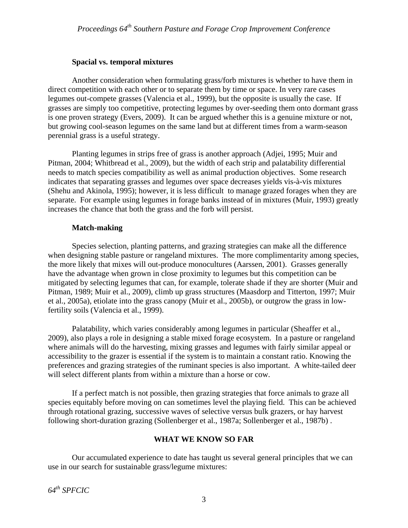### **Spacial vs. temporal mixtures**

Another consideration when formulating grass/forb mixtures is whether to have them in direct competition with each other or to separate them by time or space. In very rare cases legumes out-compete grasses (Valencia et al., 1999), but the opposite is usually the case. If grasses are simply too competitive, protecting legumes by over-seeding them onto dormant grass is one proven strategy (Evers, 2009). It can be argued whether this is a genuine mixture or not, but growing cool-season legumes on the same land but at different times from a warm-season perennial grass is a useful strategy.

Planting legumes in strips free of grass is another approach (Adjei, 1995; Muir and Pitman, 2004; Whitbread et al., 2009), but the width of each strip and palatability differential needs to match species compatibility as well as animal production objectives. Some research indicates that separating grasses and legumes over space decreases yields vis-à-vis mixtures (Shehu and Akinola, 1995); however, it is less difficult to manage grazed forages when they are separate. For example using legumes in forage banks instead of in mixtures (Muir, 1993) greatly increases the chance that both the grass and the forb will persist.

### **Match-making**

Species selection, planting patterns, and grazing strategies can make all the difference when designing stable pasture or rangeland mixtures. The more complimentarity among species, the more likely that mixes will out-produce monocultures (Aarssen, 2001). Grasses generally have the advantage when grown in close proximity to legumes but this competition can be mitigated by selecting legumes that can, for example, tolerate shade if they are shorter (Muir and Pitman, 1989; Muir et al., 2009), climb up grass structures (Maasdorp and Titterton, 1997; Muir et al., 2005a), etiolate into the grass canopy (Muir et al., 2005b), or outgrow the grass in lowfertility soils (Valencia et al., 1999).

Palatability, which varies considerably among legumes in particular (Sheaffer et al., 2009), also plays a role in designing a stable mixed forage ecosystem. In a pasture or rangeland where animals will do the harvesting, mixing grasses and legumes with fairly similar appeal or accessibility to the grazer is essential if the system is to maintain a constant ratio. Knowing the preferences and grazing strategies of the ruminant species is also important. A white-tailed deer will select different plants from within a mixture than a horse or cow.

If a perfect match is not possible, then grazing strategies that force animals to graze all species equitably before moving on can sometimes level the playing field. This can be achieved through rotational grazing, successive waves of selective versus bulk grazers, or hay harvest following short-duration grazing (Sollenberger et al., 1987a; Sollenberger et al., 1987b) .

### **WHAT WE KNOW SO FAR**

 Our accumulated experience to date has taught us several general principles that we can use in our search for sustainable grass/legume mixtures: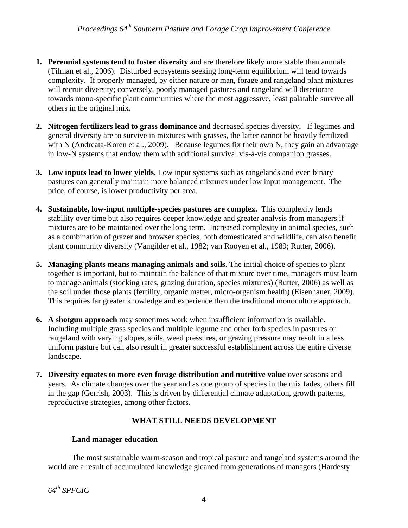- **1. Perennial systems tend to foster diversity** and are therefore likely more stable than annuals (Tilman et al., 2006). Disturbed ecosystems seeking long-term equilibrium will tend towards complexity. If properly managed, by either nature or man, forage and rangeland plant mixtures will recruit diversity; conversely, poorly managed pastures and rangeland will deteriorate towards mono-specific plant communities where the most aggressive, least palatable survive all others in the original mix.
- **2. Nitrogen fertilizers lead to grass dominance** and decreased species diversity**.** If legumes and general diversity are to survive in mixtures with grasses, the latter cannot be heavily fertilized with N (Andreata-Koren et al., 2009). Because legumes fix their own N, they gain an advantage in low-N systems that endow them with additional survival vis-à-vis companion grasses.
- **3. Low inputs lead to lower yields.** Low input systems such as rangelands and even binary pastures can generally maintain more balanced mixtures under low input management. The price, of course, is lower productivity per area.
- **4. Sustainable, low-input multiple-species pastures are complex.** This complexity lends stability over time but also requires deeper knowledge and greater analysis from managers if mixtures are to be maintained over the long term. Increased complexity in animal species, such as a combination of grazer and browser species, both domesticated and wildlife, can also benefit plant community diversity (Vangilder et al., 1982; van Rooyen et al., 1989; Rutter, 2006).
- **5. Managing plants means managing animals and soils**. The initial choice of species to plant together is important, but to maintain the balance of that mixture over time, managers must learn to manage animals (stocking rates, grazing duration, species mixtures) (Rutter, 2006) as well as the soil under those plants (fertility, organic matter, micro-organism health) (Eisenhauer, 2009). This requires far greater knowledge and experience than the traditional monoculture approach.
- **6. A shotgun approach** may sometimes work when insufficient information is available. Including multiple grass species and multiple legume and other forb species in pastures or rangeland with varying slopes, soils, weed pressures, or grazing pressure may result in a less uniform pasture but can also result in greater successful establishment across the entire diverse landscape.
- **7. Diversity equates to more even forage distribution and nutritive value** over seasons and years. As climate changes over the year and as one group of species in the mix fades, others fill in the gap (Gerrish, 2003). This is driven by differential climate adaptation, growth patterns, reproductive strategies, among other factors.

### **WHAT STILL NEEDS DEVELOPMENT**

### **Land manager education**

The most sustainable warm-season and tropical pasture and rangeland systems around the world are a result of accumulated knowledge gleaned from generations of managers (Hardesty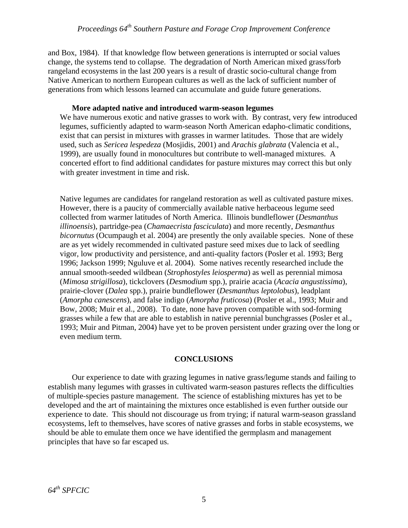and Box, 1984). If that knowledge flow between generations is interrupted or social values change, the systems tend to collapse. The degradation of North American mixed grass/forb rangeland ecosystems in the last 200 years is a result of drastic socio-cultural change from Native American to northern European cultures as well as the lack of sufficient number of generations from which lessons learned can accumulate and guide future generations.

#### **More adapted native and introduced warm-season legumes**

We have numerous exotic and native grasses to work with. By contrast, very few introduced legumes, sufficiently adapted to warm-season North American edapho-climatic conditions, exist that can persist in mixtures with grasses in warmer latitudes. Those that are widely used, such as *Sericea lespedeza* (Mosjidis, 2001) and *Arachis glabrata* (Valencia et al., 1999), are usually found in monocultures but contribute to well-managed mixtures. A concerted effort to find additional candidates for pasture mixtures may correct this but only with greater investment in time and risk.

Native legumes are candidates for rangeland restoration as well as cultivated pasture mixes. However, there is a paucity of commercially available native herbaceous legume seed collected from warmer latitudes of North America. Illinois bundleflower (*Desmanthus illinoensis*), partridge-pea (*Chamaecrista fasciculata*) and more recently, *Desmanthus bicornutus* (Ocumpaugh et al. 2004) are presently the only available species. None of these are as yet widely recommended in cultivated pasture seed mixes due to lack of seedling vigor, low productivity and persistence, and anti-quality factors (Posler et al. 1993; Berg 1996; Jackson 1999; Nguluve et al. 2004). Some natives recently researched include the annual smooth-seeded wildbean (*Strophostyles leiosperma*) as well as perennial mimosa (*Mimosa strigillosa*), tickclovers (*Desmodium* spp.), prairie acacia (*Acacia angustissima*), prairie-clover (*Dalea* spp.), prairie bundleflower (*Desmanthus leptolobus*), leadplant (*Amorpha canescens*), and false indigo (*Amorpha fruticosa*) (Posler et al., 1993; Muir and Bow, 2008; Muir et al., 2008). To date, none have proven compatible with sod-forming grasses while a few that are able to establish in native perennial bunchgrasses (Posler et al., 1993; Muir and Pitman, 2004) have yet to be proven persistent under grazing over the long or even medium term.

### **CONCLUSIONS**

 Our experience to date with grazing legumes in native grass/legume stands and failing to establish many legumes with grasses in cultivated warm-season pastures reflects the difficulties of multiple-species pasture management. The science of establishing mixtures has yet to be developed and the art of maintaining the mixtures once established is even further outside our experience to date. This should not discourage us from trying; if natural warm-season grassland ecosystems, left to themselves, have scores of native grasses and forbs in stable ecosystems, we should be able to emulate them once we have identified the germplasm and management principles that have so far escaped us.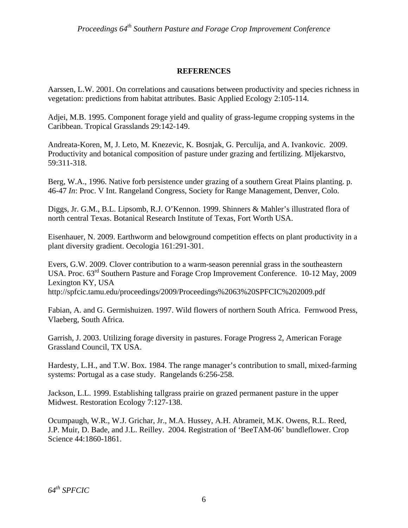### **REFERENCES**

Aarssen, L.W. 2001. On correlations and causations between productivity and species richness in vegetation: predictions from habitat attributes. Basic Applied Ecology 2:105-114.

Adjei, M.B. 1995. Component forage yield and quality of grass-legume cropping systems in the Caribbean. Tropical Grasslands 29:142-149.

Andreata-Koren, M, J. Leto, M. Knezevic, K. Bosnjak, G. Perculija, and A. Ivankovic. 2009. Productivity and botanical composition of pasture under grazing and fertilizing. Mljekarstvo, 59:311-318.

Berg, W.A., 1996. Native forb persistence under grazing of a southern Great Plains planting. p. 46-47 *In*: Proc. V Int. Rangeland Congress, Society for Range Management, Denver, Colo.

Diggs, Jr. G.M., B.L. Lipsomb, R.J. O'Kennon. 1999. Shinners & Mahler's illustrated flora of north central Texas. Botanical Research Institute of Texas, Fort Worth USA.

Eisenhauer, N. 2009. Earthworm and belowground competition effects on plant productivity in a plant diversity gradient. Oecologia 161:291-301.

Evers, G.W. 2009. Clover contribution to a warm-season perennial grass in the southeastern USA. Proc.  $63^{\text{rd}}$  Southern Pasture and Forage Crop Improvement Conference. 10-12 May, 2009 Lexington KY, USA http://spfcic.tamu.edu/proceedings/2009/Proceedings%2063%20SPFCIC%202009.pdf

Fabian, A. and G. Germishuizen. 1997. Wild flowers of northern South Africa. Fernwood Press, Vlaeberg, South Africa.

Garrish, J. 2003. Utilizing forage diversity in pastures. Forage Progress 2, American Forage Grassland Council, TX USA.

Hardesty, L.H., and T.W. Box. 1984. The range manager's contribution to small, mixed-farming systems: Portugal as a case study. Rangelands 6:256-258.

Jackson, L.L. 1999. Establishing tallgrass prairie on grazed permanent pasture in the upper Midwest. Restoration Ecology 7:127-138.

Ocumpaugh, W.R., W.J. Grichar, Jr., M.A. Hussey, A.H. Abrameit, M.K. Owens, R.L. Reed, J.P. Muir, D. Bade, and J.L. Reilley. 2004. Registration of 'BeeTAM-06' bundleflower. Crop Science 44:1860-1861.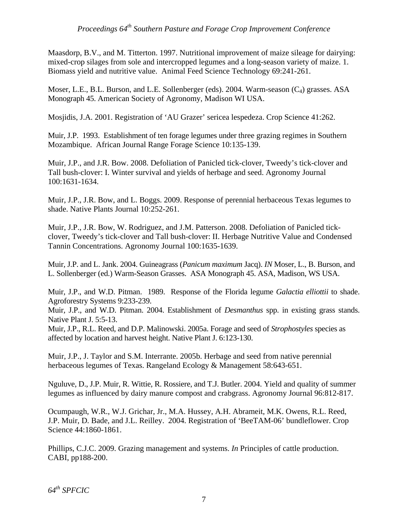Maasdorp, B.V., and M. Titterton. 1997. Nutritional improvement of maize sileage for dairying: mixed-crop silages from sole and intercropped legumes and a long-season variety of maize. 1. Biomass yield and nutritive value. Animal Feed Science Technology 69:241-261.

Moser, L.E., B.L. Burson, and L.E. Sollenberger (eds). 2004. Warm-season (C<sub>4</sub>) grasses. ASA Monograph 45. American Society of Agronomy, Madison WI USA.

Mosjidis, J.A. 2001. Registration of 'AU Grazer' sericea lespedeza. Crop Science 41:262.

Muir, J.P. 1993. Establishment of ten forage legumes under three grazing regimes in Southern Mozambique. African Journal Range Forage Science 10:135-139.

Muir, J.P., and J.R. Bow. 2008. Defoliation of Panicled tick-clover, Tweedy's tick-clover and Tall bush-clover: I. Winter survival and yields of herbage and seed. Agronomy Journal 100:1631-1634.

Muir, J.P., J.R. Bow, and L. Boggs. 2009. Response of perennial herbaceous Texas legumes to shade. Native Plants Journal 10:252-261.

Muir, J.P., J.R. Bow, W. Rodriguez, and J.M. Patterson. 2008. Defoliation of Panicled tickclover, Tweedy's tick-clover and Tall bush-clover: II. Herbage Nutritive Value and Condensed Tannin Concentrations. Agronomy Journal 100:1635-1639.

Muir, J.P. and L. Jank. 2004. Guineagrass (*Panicum maximum* Jacq). *IN* Moser, L., B. Burson, and L. Sollenberger (ed.) Warm-Season Grasses. ASA Monograph 45. ASA, Madison, WS USA.

Muir, J.P., and W.D. Pitman. 1989. Response of the Florida legume *Galactia elliottii* to shade. Agroforestry Systems 9:233-239.

Muir, J.P., and W.D. Pitman. 2004. Establishment of *Desmanthus* spp. in existing grass stands. Native Plant J. 5:5-13.

Muir, J.P., R.L. Reed, and D.P. Malinowski. 2005a. Forage and seed of *Strophostyles* species as affected by location and harvest height. Native Plant J. 6:123-130.

Muir, J.P., J. Taylor and S.M. Interrante. 2005b. Herbage and seed from native perennial herbaceous legumes of Texas. Rangeland Ecology & Management 58:643-651.

Nguluve, D., J.P. Muir, R. Wittie, R. Rossiere, and T.J. Butler. 2004. Yield and quality of summer legumes as influenced by dairy manure compost and crabgrass. Agronomy Journal 96:812-817.

Ocumpaugh, W.R., W.J. Grichar, Jr., M.A. Hussey, A.H. Abrameit, M.K. Owens, R.L. Reed, J.P. Muir, D. Bade, and J.L. Reilley. 2004. Registration of 'BeeTAM-06' bundleflower. Crop Science 44:1860-1861.

Phillips, C.J.C. 2009. Grazing management and systems. *In* Principles of cattle production. CABI, pp188-200.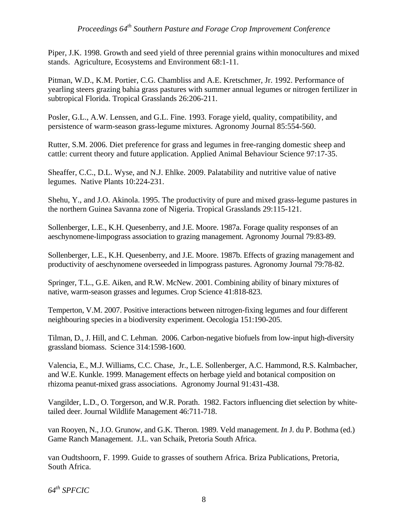Piper, J.K. 1998. Growth and seed yield of three perennial grains within monocultures and mixed stands. Agriculture, Ecosystems and Environment 68:1-11.

Pitman, W.D., K.M. Portier, C.G. Chambliss and A.E. Kretschmer, Jr. 1992. Performance of yearling steers grazing bahia grass pastures with summer annual legumes or nitrogen fertilizer in subtropical Florida. Tropical Grasslands 26:206-211.

Posler, G.L., A.W. Lenssen, and G.L. Fine. 1993. Forage yield, quality, compatibility, and persistence of warm-season grass-legume mixtures. Agronomy Journal 85:554-560.

Rutter, S.M. 2006. Diet preference for grass and legumes in free-ranging domestic sheep and cattle: current theory and future application. Applied Animal Behaviour Science 97:17-35.

Sheaffer, C.C., D.L. Wyse, and N.J. Ehlke. 2009. Palatability and nutritive value of native legumes. Native Plants 10:224-231.

Shehu, Y., and J.O. Akinola. 1995. The productivity of pure and mixed grass-legume pastures in the northern Guinea Savanna zone of Nigeria. Tropical Grasslands 29:115-121.

Sollenberger, L.E., K.H. Quesenberry, and J.E. Moore. 1987a. Forage quality responses of an aeschynomene-limpograss association to grazing management. Agronomy Journal 79:83-89.

Sollenberger, L.E., K.H. Quesenberry, and J.E. Moore. 1987b. Effects of grazing management and productivity of aeschynomene overseeded in limpograss pastures. Agronomy Journal 79:78-82.

Springer, T.L., G.E. Aiken, and R.W. McNew. 2001. Combining ability of binary mixtures of native, warm-season grasses and legumes. Crop Science 41:818-823.

Temperton, V.M. 2007. Positive interactions between nitrogen-fixing legumes and four different neighbouring species in a biodiversity experiment. Oecologia 151:190-205.

Tilman, D., J. Hill, and C. Lehman. 2006. Carbon-negative biofuels from low-input high-diversity grassland biomass. Science 314:1598-1600.

Valencia, E., M.J. Williams, C.C. Chase, Jr., L.E. Sollenberger, A.C. Hammond, R.S. Kalmbacher, and W.E. Kunkle. 1999. Management effects on herbage yield and botanical composition on rhizoma peanut-mixed grass associations. Agronomy Journal 91:431-438.

Vangilder, L.D., O. Torgerson, and W.R. Porath. 1982. Factors influencing diet selection by whitetailed deer. Journal Wildlife Management 46:711-718.

van Rooyen, N., J.O. Grunow, and G.K. Theron. 1989. Veld management. *In* J. du P. Bothma (ed.) Game Ranch Management. J.L. van Schaik, Pretoria South Africa.

van Oudtshoorn, F. 1999. Guide to grasses of southern Africa. Briza Publications, Pretoria, South Africa.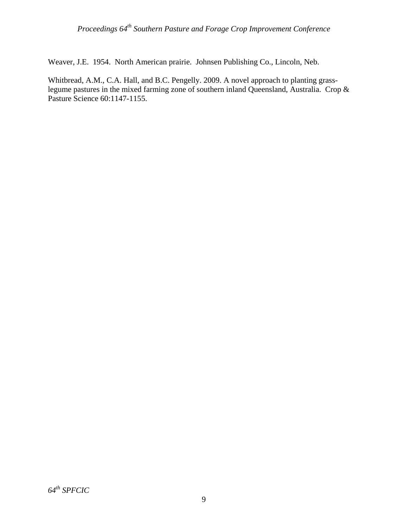Weaver, J.E. 1954. North American prairie. Johnsen Publishing Co., Lincoln, Neb.

Whitbread, A.M., C.A. Hall, and B.C. Pengelly. 2009. A novel approach to planting grasslegume pastures in the mixed farming zone of southern inland Queensland, Australia. Crop & Pasture Science 60:1147-1155.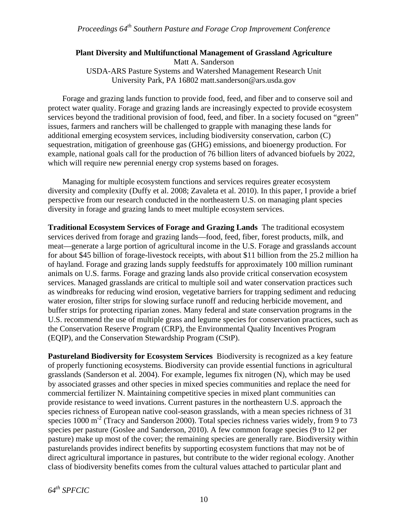### **Plant Diversity and Multifunctional Management of Grassland Agriculture**

Matt A. Sanderson USDA-ARS Pasture Systems and Watershed Management Research Unit University Park, PA 16802 matt.sanderson@ars.usda.gov

Forage and grazing lands function to provide food, feed, and fiber and to conserve soil and protect water quality. Forage and grazing lands are increasingly expected to provide ecosystem services beyond the traditional provision of food, feed, and fiber. In a society focused on "green" issues, farmers and ranchers will be challenged to grapple with managing these lands for additional emerging ecosystem services, including biodiversity conservation, carbon (C) sequestration, mitigation of greenhouse gas (GHG) emissions, and bioenergy production. For example, national goals call for the production of 76 billion liters of advanced biofuels by 2022, which will require new perennial energy crop systems based on forages.

Managing for multiple ecosystem functions and services requires greater ecosystem diversity and complexity (Duffy et al. 2008; Zavaleta et al. 2010). In this paper, I provide a brief perspective from our research conducted in the northeastern U.S. on managing plant species diversity in forage and grazing lands to meet multiple ecosystem services.

**Traditional Ecosystem Services of Forage and Grazing Lands** The traditional ecosystem services derived from forage and grazing lands—food, feed, fiber, forest products, milk, and meat—generate a large portion of agricultural income in the U.S. Forage and grasslands account for about \$45 billion of forage-livestock receipts, with about \$11 billion from the 25.2 million ha of hayland. Forage and grazing lands supply feedstuffs for approximately 100 million ruminant animals on U.S. farms. Forage and grazing lands also provide critical conservation ecosystem services. Managed grasslands are critical to multiple soil and water conservation practices such as windbreaks for reducing wind erosion, vegetative barriers for trapping sediment and reducing water erosion, filter strips for slowing surface runoff and reducing herbicide movement, and buffer strips for protecting riparian zones. Many federal and state conservation programs in the U.S. recommend the use of multiple grass and legume species for conservation practices, such as the Conservation Reserve Program (CRP), the Environmental Quality Incentives Program (EQIP), and the Conservation Stewardship Program (CStP).

**Pastureland Biodiversity for Ecosystem Services** Biodiversity is recognized as a key feature of properly functioning ecosystems. Biodiversity can provide essential functions in agricultural grasslands (Sanderson et al. 2004). For example, legumes fix nitrogen (N), which may be used by associated grasses and other species in mixed species communities and replace the need for commercial fertilizer N. Maintaining competitive species in mixed plant communities can provide resistance to weed invations. Current pastures in the northeastern U.S. approach the species richness of European native cool-season grasslands, with a mean species richness of 31 species  $1000 \text{ m}^2$  (Tracy and Sanderson 2000). Total species richness varies widely, from 9 to 73 species per pasture (Goslee and Sanderson, 2010). A few common forage species (9 to 12 per pasture) make up most of the cover; the remaining species are generally rare. Biodiversity within pasturelands provides indirect benefits by supporting ecosystem functions that may not be of direct agricultural importance in pastures, but contribute to the wider regional ecology. Another class of biodiversity benefits comes from the cultural values attached to particular plant and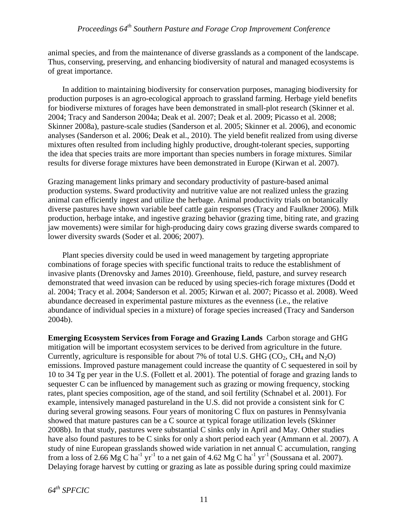animal species, and from the maintenance of diverse grasslands as a component of the landscape. Thus, conserving, preserving, and enhancing biodiversity of natural and managed ecosystems is of great importance.

In addition to maintaining biodiversity for conservation purposes, managing biodiversity for production purposes is an agro-ecological approach to grassland farming. Herbage yield benefits for biodiverse mixtures of forages have been demonstrated in small-plot research (Skinner et al. 2004; Tracy and Sanderson 2004a; Deak et al. 2007; Deak et al. 2009; Picasso et al. 2008; Skinner 2008a), pasture-scale studies (Sanderson et al. 2005; Skinner et al. 2006), and economic analyses (Sanderson et al. 2006; Deak et al., 2010). The yield benefit realized from using diverse mixtures often resulted from including highly productive, drought-tolerant species, supporting the idea that species traits are more important than species numbers in forage mixtures. Similar results for diverse forage mixtures have been demonstrated in Europe (Kirwan et al. 2007).

Grazing management links primary and secondary productivity of pasture-based animal production systems. Sward productivity and nutritive value are not realized unless the grazing animal can efficiently ingest and utilize the herbage. Animal productivity trials on botanically diverse pastures have shown variable beef cattle gain responses (Tracy and Faulkner 2006). Milk production, herbage intake, and ingestive grazing behavior (grazing time, biting rate, and grazing jaw movements) were similar for high-producing dairy cows grazing diverse swards compared to lower diversity swards (Soder et al. 2006; 2007).

Plant species diversity could be used in weed management by targeting appropriate combinations of forage species with specific functional traits to reduce the establishment of invasive plants (Drenovsky and James 2010). Greenhouse, field, pasture, and survey research demonstrated that weed invasion can be reduced by using species-rich forage mixtures (Dodd et al. 2004; Tracy et al. 2004; Sanderson et al. 2005; Kirwan et al. 2007; Picasso et al. 2008). Weed abundance decreased in experimental pasture mixtures as the evenness (i.e., the relative abundance of individual species in a mixture) of forage species increased (Tracy and Sanderson 2004b).

**Emerging Ecosystem Services from Forage and Grazing Lands** Carbon storage and GHG mitigation will be important ecosystem services to be derived from agriculture in the future. Currently, agriculture is responsible for about 7% of total U.S. GHG ( $CO_2$ ,  $CH_4$  and  $N_2O$ ) emissions. Improved pasture management could increase the quantity of C sequestered in soil by 10 to 34 Tg per year in the U.S. (Follett et al. 2001). The potential of forage and grazing lands to sequester C can be influenced by management such as grazing or mowing frequency, stocking rates, plant species composition, age of the stand, and soil fertility (Schnabel et al. 2001). For example, intensively managed pastureland in the U.S. did not provide a consistent sink for C during several growing seasons. Four years of monitoring C flux on pastures in Pennsylvania showed that mature pastures can be a C source at typical forage utilization levels (Skinner 2008b). In that study, pastures were substantial C sinks only in April and May. Other studies have also found pastures to be C sinks for only a short period each year (Ammann et al. 2007). A study of nine European grasslands showed wide variation in net annual C accumulation, ranging from a loss of 2.66 Mg C ha<sup>-1</sup> yr<sup>-1</sup> to a net gain of 4.62 Mg C ha<sup>-1</sup> yr<sup>-1</sup> (Soussana et al. 2007). Delaying forage harvest by cutting or grazing as late as possible during spring could maximize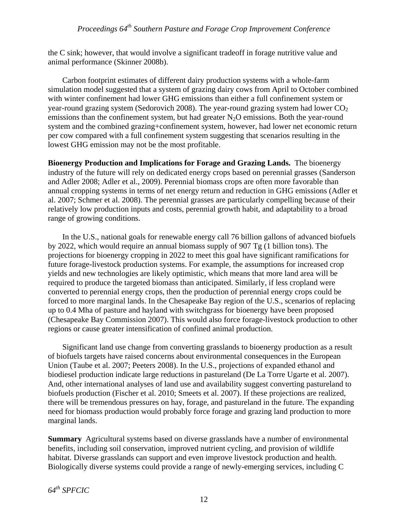the C sink; however, that would involve a significant tradeoff in forage nutritive value and animal performance (Skinner 2008b).

Carbon footprint estimates of different dairy production systems with a whole-farm simulation model suggested that a system of grazing dairy cows from April to October combined with winter confinement had lower GHG emissions than either a full confinement system or year-round grazing system (Sedorovich 2008). The year-round grazing system had lower  $CO<sub>2</sub>$ emissions than the confinement system, but had greater  $N_2O$  emissions. Both the year-round system and the combined grazing+confinement system, however, had lower net economic return per cow compared with a full confinement system suggesting that scenarios resulting in the lowest GHG emission may not be the most profitable.

**Bioenergy Production and Implications for Forage and Grazing Lands.** The bioenergy industry of the future will rely on dedicated energy crops based on perennial grasses (Sanderson and Adler 2008; Adler et al., 2009). Perennial biomass crops are often more favorable than annual cropping systems in terms of net energy return and reduction in GHG emissions (Adler et al. 2007; Schmer et al. 2008). The perennial grasses are particularly compelling because of their relatively low production inputs and costs, perennial growth habit, and adaptability to a broad range of growing conditions.

In the U.S., national goals for renewable energy call 76 billion gallons of advanced biofuels by 2022, which would require an annual biomass supply of 907 Tg (1 billion tons). The projections for bioenergy cropping in 2022 to meet this goal have significant ramifications for future forage-livestock production systems. For example, the assumptions for increased crop yields and new technologies are likely optimistic, which means that more land area will be required to produce the targeted biomass than anticipated. Similarly, if less cropland were converted to perennial energy crops, then the production of perennial energy crops could be forced to more marginal lands. In the Chesapeake Bay region of the U.S., scenarios of replacing up to 0.4 Mha of pasture and hayland with switchgrass for bioenergy have been proposed (Chesapeake Bay Commission 2007). This would also force forage-livestock production to other regions or cause greater intensification of confined animal production.

Significant land use change from converting grasslands to bioenergy production as a result of biofuels targets have raised concerns about environmental consequences in the European Union (Taube et al. 2007; Peeters 2008). In the U.S., projections of expanded ethanol and biodiesel production indicate large reductions in pastureland (De La Torre Ugarte et al. 2007). And, other international analyses of land use and availability suggest converting pastureland to biofuels production (Fischer et al. 2010; Smeets et al. 2007). If these projections are realized, there will be tremendous pressures on hay, forage, and pastureland in the future. The expanding need for biomass production would probably force forage and grazing land production to more marginal lands.

**Summary** Agricultural systems based on diverse grasslands have a number of environmental benefits, including soil conservation, improved nutrient cycling, and provision of wildlife habitat. Diverse grasslands can support and even improve livestock production and health. Biologically diverse systems could provide a range of newly-emerging services, including C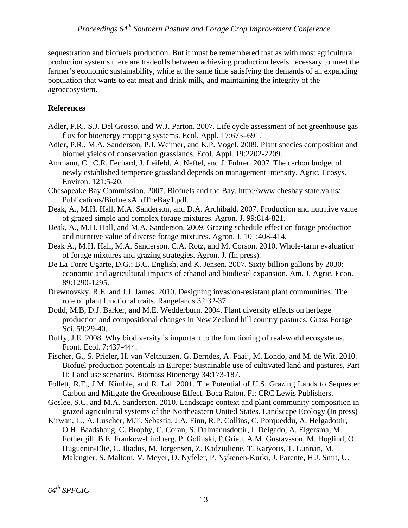sequestration and biofuels production. But it must be remembered that as with most agricultural production systems there are tradeoffs between achieving production levels necessary to meet the farmer's economic sustainability, while at the same time satisfying the demands of an expanding population that wants to eat meat and drink milk, and maintaining the integrity of the agroecosystem.

### **References**

- Adler, P.R., S.J. Del Grosso, and W.J. Parton. 2007. Life cycle assessment of net greenhouse gas flux for bioenergy cropping systems. Ecol. Appl. 17:675–691.
- Adler, P.R., M.A. Sanderson, P.J. Weimer, and K.P. Vogel. 2009. Plant species composition and biofuel yields of conservation grasslands. Ecol. Appl. 19:2202-2209.
- Ammann, C., C.R. Fechard, J. Leifeld, A. Neftel, and J. Fuhrer. 2007. The carbon budget of newly established temperate grassland depends on management intensity. Agric. Ecosys. Environ. 121:5-20.
- Chesapeake Bay Commission. 2007. Biofuels and the Bay. http://www.chesbay.state.va.us/ Publications/BiofuelsAndTheBay1.pdf.
- Deak, A., M.H. Hall, M.A. Sanderson, and D.A. Archibald. 2007. Production and nutritive value of grazed simple and complex forage mixtures. Agron. J. 99:814-821.
- Deak, A., M.H. Hall, and M.A. Sanderson. 2009. Grazing schedule effect on forage production and nutritive value of diverse forage mixtures. Agron. J. 101:408-414.
- Deak A., M.H. Hall, M.A. Sanderson, C.A. Rotz, and M. Corson. 2010. Whole-farm evaluation of forage mixtures and grazing strategies. Agron. J. (In press).
- De La Torre Ugarte, D.G.; B.C. English, and K. Jensen. 2007. Sixty billion gallons by 2030: economic and agricultural impacts of ethanol and biodiesel expansion. Am. J. Agric. Econ. 89:1290-1295.
- Drewnovsky, R.E. and J.J. James. 2010. Designing invasion-resistant plant communities: The role of plant functional traits. Rangelands 32:32-37.
- Dodd, M.B, D.J. Barker, and M.E. Wedderburn. 2004. Plant diversity effects on herbage production and compositional changes in New Zealand hill country pastures. Grass Forage Sci. 59:29-40.
- Duffy, J.E. 2008. Why biodiversity is important to the functioning of real-world ecosystems. Front. Ecol. 7:437-444.
- Fischer, G., S. Prieler, H. van Velthuizen, G. Berndes, A. Faaij, M. Londo, and M. de Wit. 2010. Biofuel production potentials in Europe: Sustainable use of cultivated land and pastures, Part II: Land use scenarios. Biomass Bioenergy 34:173-187.
- Follett, R.F., J.M. Kimble, and R. Lal. 2001. The Potential of U.S. Grazing Lands to Sequester Carbon and Mitigate the Greenhouse Effect. Boca Raton, Fl: CRC Lewis Publishers.
- Goslee, S.C, and M.A. Sanderson. 2010. Landscape context and plant community composition in grazed agricultural systems of the Northeastern United States. Landscape Ecology (In press)
- Kirwan, L., A. Luscher, M.T. Sebastia, J.A. Finn, R.P. Collins, C. Porqueddu, A. Helgadottir, O.H. Baadshaug, C. Brophy, C. Coran, S. Dalmannsdottir, I. Delgado, A. Elgersma, M. Fothergill, B.E. Frankow-Lindberg, P. Golinski, P.Grieu, A.M. Gustavsson, M. Hoglind, O. Huguenin-Elie, C. Iliadus, M. Jorgensen, Z. Kadziuliene, T. Karyotis, T. Lunnan, M. Malengier, S. Maltoni, V. Meyer, D. Nyfeler, P. Nykenen-Kurki, J. Parente, H.J. Smit, U.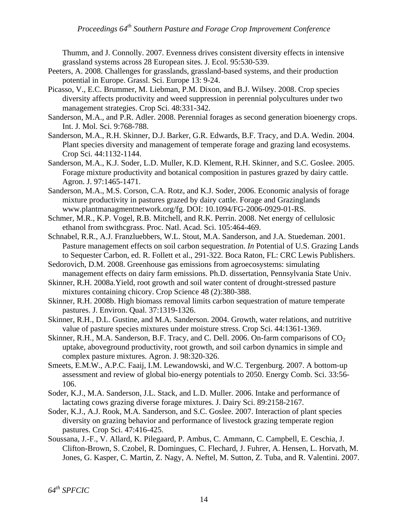Thumm, and J. Connolly. 2007. Evenness drives consistent diversity effects in intensive grassland systems across 28 European sites. J. Ecol. 95:530-539.

- Peeters, A. 2008. Challenges for grasslands, grassland-based systems, and their production potential in Europe. Grassl. Sci. Europe 13: 9-24.
- Picasso, V., E.C. Brummer, M. Liebman, P.M. Dixon, and B.J. Wilsey. 2008. Crop species diversity affects productivity and weed suppression in perennial polycultures under two management strategies. Crop Sci. 48:331-342.
- Sanderson, M.A., and P.R. Adler. 2008. Perennial forages as second generation bioenergy crops. Int. J. Mol. Sci. 9:768-788.
- Sanderson, M.A., R.H. Skinner, D.J. Barker, G.R. Edwards, B.F. Tracy, and D.A. Wedin. 2004. Plant species diversity and management of temperate forage and grazing land ecosystems. Crop Sci. 44:1132-1144.
- Sanderson, M.A., K.J. Soder, L.D. Muller, K.D. Klement, R.H. Skinner, and S.C. Goslee. 2005. Forage mixture productivity and botanical composition in pastures grazed by dairy cattle. Agron. J. 97:1465-1471.
- Sanderson, M.A., M.S. Corson, C.A. Rotz, and K.J. Soder, 2006. Economic analysis of forage mixture productivity in pastures grazed by dairy cattle. Forage and Grazinglands www.plantmanagmentnetwork.org/fg. DOI: 10.1094/FG-2006-0929-01-RS.
- Schmer, M.R., K.P. Vogel, R.B. Mitchell, and R.K. Perrin. 2008. Net energy of cellulosic ethanol from swithcgrass. Proc. Natl. Acad. Sci. 105:464-469.
- Schnabel, R.R., A.J. Franzluebbers, W.L. Stout, M.A. Sanderson, and J.A. Stuedeman. 2001. Pasture management effects on soil carbon sequestration. *In* Potential of U.S. Grazing Lands to Sequester Carbon, ed. R. Follett et al., 291-322. Boca Raton, FL: CRC Lewis Publishers.
- Sedorovich, D.M. 2008. Greenhouse gas emissions from agroecosystems: simulating management effects on dairy farm emissions. Ph.D. dissertation, Pennsylvania State Univ.
- Skinner, R.H. 2008a.Yield, root growth and soil water content of drought-stressed pasture mixtures containing chicory. Crop Science 48 (2):380-388.
- Skinner, R.H. 2008b. High biomass removal limits carbon sequestration of mature temperate pastures. J. Environ. Qual. 37:1319-1326.
- Skinner, R.H., D.L. Gustine, and M.A. Sanderson. 2004. Growth, water relations, and nutritive value of pasture species mixtures under moisture stress. Crop Sci. 44:1361-1369.
- Skinner, R.H., M.A. Sanderson, B.F. Tracy, and C. Dell. 2006. On-farm comparisons of  $CO<sub>2</sub>$ uptake, aboveground productivity, root growth, and soil carbon dynamics in simple and complex pasture mixtures. Agron. J. 98:320-326.
- Smeets, E.M.W., A.P.C. Faaij, I.M. Lewandowski, and W.C. Tergenburg. 2007. A bottom-up assessment and review of global bio-energy potentials to 2050. Energy Comb. Sci. 33:56- 106.
- Soder, K.J., M.A. Sanderson, J.L. Stack, and L.D. Muller. 2006. Intake and performance of lactating cows grazing diverse forage mixtures. J. Dairy Sci. 89:2158-2167.
- Soder, K.J., A.J. Rook, M.A. Sanderson, and S.C. Goslee. 2007. Interaction of plant species diversity on grazing behavior and performance of livestock grazing temperate region pastures. Crop Sci. 47:416-425.
- Soussana, J.-F., V. Allard, K. Pilegaard, P. Ambus, C. Ammann, C. Campbell, E. Ceschia, J. Clifton-Brown, S. Czobel, R. Domingues, C. Flechard, J. Fuhrer, A. Hensen, L. Horvath, M. Jones, G. Kasper, C. Martin, Z. Nagy, A. Neftel, M. Sutton, Z. Tuba, and R. Valentini. 2007.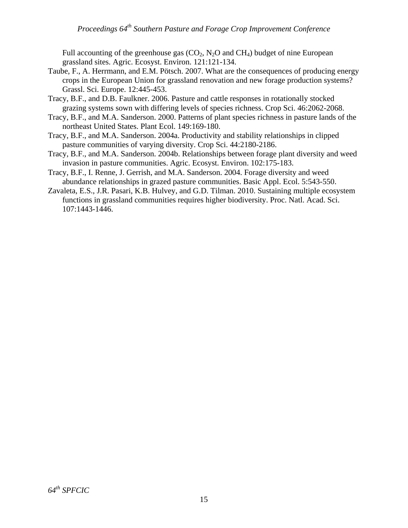Full accounting of the greenhouse gas  $(CO_2, N_2O)$  and  $CH_4$ ) budget of nine European grassland sites. Agric. Ecosyst. Environ. 121:121-134.

- Taube, F., A. Herrmann, and E.M. Pötsch. 2007. What are the consequences of producing energy crops in the European Union for grassland renovation and new forage production systems? Grassl. Sci. Europe. 12:445-453.
- Tracy, B.F., and D.B. Faulkner. 2006. Pasture and cattle responses in rotationally stocked grazing systems sown with differing levels of species richness. Crop Sci. 46:2062-2068.
- Tracy, B.F., and M.A. Sanderson. 2000. Patterns of plant species richness in pasture lands of the northeast United States. Plant Ecol. 149:169-180.
- Tracy, B.F., and M.A. Sanderson. 2004a. Productivity and stability relationships in clipped pasture communities of varying diversity. Crop Sci. 44:2180-2186.
- Tracy, B.F., and M.A. Sanderson. 2004b. Relationships between forage plant diversity and weed invasion in pasture communities. Agric. Ecosyst. Environ. 102:175-183.
- Tracy, B.F., I. Renne, J. Gerrish, and M.A. Sanderson. 2004. Forage diversity and weed abundance relationships in grazed pasture communities. Basic Appl. Ecol. 5:543-550.
- Zavaleta, E.S., J.R. Pasari, K.B. Hulvey, and G.D. Tilman. 2010. Sustaining multiple ecosystem functions in grassland communities requires higher biodiversity. Proc. Natl. Acad. Sci. 107:1443-1446.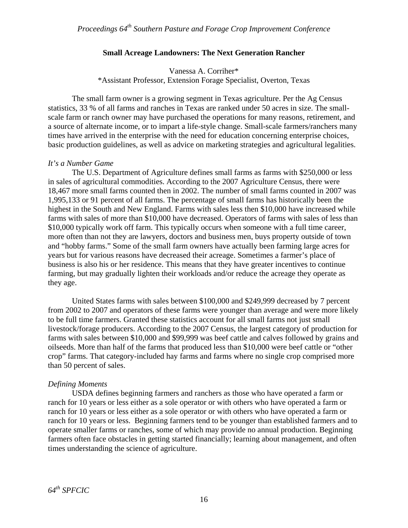#### **Small Acreage Landowners: The Next Generation Rancher**

Vanessa A. Corriher\* \*Assistant Professor, Extension Forage Specialist, Overton, Texas

The small farm owner is a growing segment in Texas agriculture. Per the Ag Census statistics, 33 % of all farms and ranches in Texas are ranked under 50 acres in size. The smallscale farm or ranch owner may have purchased the operations for many reasons, retirement, and a source of alternate income, or to impart a life-style change. Small-scale farmers/ranchers many times have arrived in the enterprise with the need for education concerning enterprise choices, basic production guidelines, as well as advice on marketing strategies and agricultural legalities.

#### *It's a Number Game*

The U.S. Department of Agriculture defines small farms as farms with \$250,000 or less in sales of agricultural commodities. According to the 2007 Agriculture Census, there were 18,467 more small farms counted then in 2002. The number of small farms counted in 2007 was 1,995,133 or 91 percent of all farms. The percentage of small farms has historically been the highest in the South and New England. Farms with sales less then \$10,000 have increased while farms with sales of more than \$10,000 have decreased. Operators of farms with sales of less than \$10,000 typically work off farm. This typically occurs when someone with a full time career, more often than not they are lawyers, doctors and business men, buys property outside of town and "hobby farms." Some of the small farm owners have actually been farming large acres for years but for various reasons have decreased their acreage. Sometimes a farmer's place of business is also his or her residence. This means that they have greater incentives to continue farming, but may gradually lighten their workloads and/or reduce the acreage they operate as they age.

United States farms with sales between \$100,000 and \$249,999 decreased by 7 percent from 2002 to 2007 and operators of these farms were younger than average and were more likely to be full time farmers. Granted these statistics account for all small farms not just small livestock/forage producers. According to the 2007 Census, the largest category of production for farms with sales between \$10,000 and \$99,999 was beef cattle and calves followed by grains and oilseeds. More than half of the farms that produced less than \$10,000 were beef cattle or "other crop" farms. That category-included hay farms and farms where no single crop comprised more than 50 percent of sales.

#### *Defining Moments*

USDA defines beginning farmers and ranchers as those who have operated a farm or ranch for 10 years or less either as a sole operator or with others who have operated a farm or ranch for 10 years or less either as a sole operator or with others who have operated a farm or ranch for 10 years or less. Beginning farmers tend to be younger than established farmers and to operate smaller farms or ranches, some of which may provide no annual production. Beginning farmers often face obstacles in getting started financially; learning about management, and often times understanding the science of agriculture.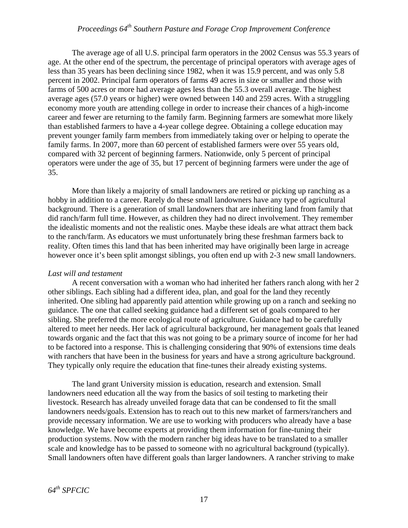The average age of all U.S. principal farm operators in the 2002 Census was 55.3 years of age. At the other end of the spectrum, the percentage of principal operators with average ages of less than 35 years has been declining since 1982, when it was 15.9 percent, and was only 5.8 percent in 2002. Principal farm operators of farms 49 acres in size or smaller and those with farms of 500 acres or more had average ages less than the 55.3 overall average. The highest average ages (57.0 years or higher) were owned between 140 and 259 acres. With a struggling economy more youth are attending college in order to increase their chances of a high-income career and fewer are returning to the family farm. Beginning farmers are somewhat more likely than established farmers to have a 4-year college degree. Obtaining a college education may prevent younger family farm members from immediately taking over or helping to operate the family farms. In 2007, more than 60 percent of established farmers were over 55 years old, compared with 32 percent of beginning farmers. Nationwide, only 5 percent of principal operators were under the age of 35, but 17 percent of beginning farmers were under the age of 35.

More than likely a majority of small landowners are retired or picking up ranching as a hobby in addition to a career. Rarely do these small landowners have any type of agricultural background. There is a generation of small landowners that are inheriting land from family that did ranch/farm full time. However, as children they had no direct involvement. They remember the idealistic moments and not the realistic ones. Maybe these ideals are what attract them back to the ranch/farm. As educators we must unfortunately bring these freshman farmers back to reality. Often times this land that has been inherited may have originally been large in acreage however once it's been split amongst siblings, you often end up with 2-3 new small landowners.

#### *Last will and testament*

A recent conversation with a woman who had inherited her fathers ranch along with her 2 other siblings. Each sibling had a different idea, plan, and goal for the land they recently inherited. One sibling had apparently paid attention while growing up on a ranch and seeking no guidance. The one that called seeking guidance had a different set of goals compared to her sibling. She preferred the more ecological route of agriculture. Guidance had to be carefully altered to meet her needs. Her lack of agricultural background, her management goals that leaned towards organic and the fact that this was not going to be a primary source of income for her had to be factored into a response. This is challenging considering that 90% of extensions time deals with ranchers that have been in the business for years and have a strong agriculture background. They typically only require the education that fine-tunes their already existing systems.

The land grant University mission is education, research and extension. Small landowners need education all the way from the basics of soil testing to marketing their livestock. Research has already unveiled forage data that can be condensed to fit the small landowners needs/goals. Extension has to reach out to this new market of farmers/ranchers and provide necessary information. We are use to working with producers who already have a base knowledge. We have become experts at providing them information for fine-tuning their production systems. Now with the modern rancher big ideas have to be translated to a smaller scale and knowledge has to be passed to someone with no agricultural background (typically). Small landowners often have different goals than larger landowners. A rancher striving to make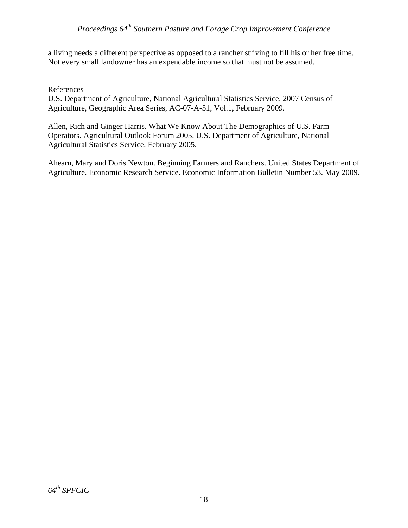a living needs a different perspective as opposed to a rancher striving to fill his or her free time. Not every small landowner has an expendable income so that must not be assumed.

#### References

U.S. Department of Agriculture, National Agricultural Statistics Service. 2007 Census of Agriculture, Geographic Area Series, AC-07-A-51, Vol.1, February 2009.

Allen, Rich and Ginger Harris. What We Know About The Demographics of U.S. Farm Operators. Agricultural Outlook Forum 2005. U.S. Department of Agriculture, National Agricultural Statistics Service. February 2005.

Ahearn, Mary and Doris Newton. Beginning Farmers and Ranchers. United States Department of Agriculture. Economic Research Service. Economic Information Bulletin Number 53. May 2009.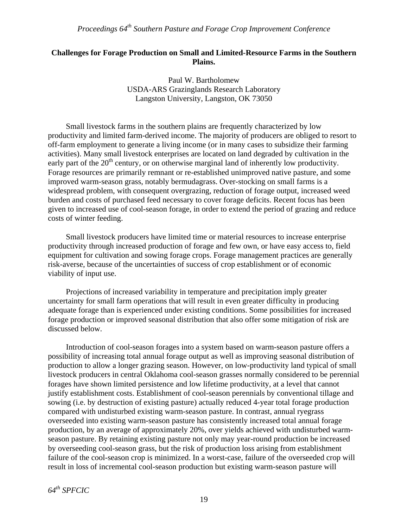### **Challenges for Forage Production on Small and Limited-Resource Farms in the Southern Plains.**

Paul W. Bartholomew USDA-ARS Grazinglands Research Laboratory Langston University, Langston, OK 73050

Small livestock farms in the southern plains are frequently characterized by low productivity and limited farm-derived income. The majority of producers are obliged to resort to off-farm employment to generate a living income (or in many cases to subsidize their farming activities). Many small livestock enterprises are located on land degraded by cultivation in the early part of the  $20<sup>th</sup>$  century, or on otherwise marginal land of inherently low productivity. Forage resources are primarily remnant or re-established unimproved native pasture, and some improved warm-season grass, notably bermudagrass. Over-stocking on small farms is a widespread problem, with consequent overgrazing, reduction of forage output, increased weed burden and costs of purchased feed necessary to cover forage deficits. Recent focus has been given to increased use of cool-season forage, in order to extend the period of grazing and reduce costs of winter feeding.

Small livestock producers have limited time or material resources to increase enterprise productivity through increased production of forage and few own, or have easy access to, field equipment for cultivation and sowing forage crops. Forage management practices are generally risk-averse, because of the uncertainties of success of crop establishment or of economic viability of input use.

Projections of increased variability in temperature and precipitation imply greater uncertainty for small farm operations that will result in even greater difficulty in producing adequate forage than is experienced under existing conditions. Some possibilities for increased forage production or improved seasonal distribution that also offer some mitigation of risk are discussed below.

Introduction of cool-season forages into a system based on warm-season pasture offers a possibility of increasing total annual forage output as well as improving seasonal distribution of production to allow a longer grazing season. However, on low-productivity land typical of small livestock producers in central Oklahoma cool-season grasses normally considered to be perennial forages have shown limited persistence and low lifetime productivity, at a level that cannot justify establishment costs. Establishment of cool-season perennials by conventional tillage and sowing (i.e. by destruction of existing pasture) actually reduced 4-year total forage production compared with undisturbed existing warm-season pasture. In contrast, annual ryegrass overseeded into existing warm-season pasture has consistently increased total annual forage production, by an average of approximately 20%, over yields achieved with undisturbed warmseason pasture. By retaining existing pasture not only may year-round production be increased by overseeding cool-season grass, but the risk of production loss arising from establishment failure of the cool-season crop is minimized. In a worst-case, failure of the overseeded crop will result in loss of incremental cool-season production but existing warm-season pasture will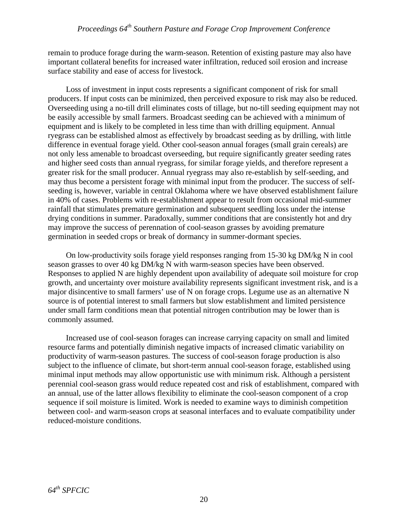remain to produce forage during the warm-season. Retention of existing pasture may also have important collateral benefits for increased water infiltration, reduced soil erosion and increase surface stability and ease of access for livestock.

Loss of investment in input costs represents a significant component of risk for small producers. If input costs can be minimized, then perceived exposure to risk may also be reduced. Overseeding using a no-till drill eliminates costs of tillage, but no-till seeding equipment may not be easily accessible by small farmers. Broadcast seeding can be achieved with a minimum of equipment and is likely to be completed in less time than with drilling equipment. Annual ryegrass can be established almost as effectively by broadcast seeding as by drilling, with little difference in eventual forage yield. Other cool-season annual forages (small grain cereals) are not only less amenable to broadcast overseeding, but require significantly greater seeding rates and higher seed costs than annual ryegrass, for similar forage yields, and therefore represent a greater risk for the small producer. Annual ryegrass may also re-establish by self-seeding, and may thus become a persistent forage with minimal input from the producer. The success of selfseeding is, however, variable in central Oklahoma where we have observed establishment failure in 40% of cases. Problems with re-establishment appear to result from occasional mid-summer rainfall that stimulates premature germination and subsequent seedling loss under the intense drying conditions in summer. Paradoxally, summer conditions that are consistently hot and dry may improve the success of perennation of cool-season grasses by avoiding premature germination in seeded crops or break of dormancy in summer-dormant species.

On low-productivity soils forage yield responses ranging from 15-30 kg DM/kg N in cool season grasses to over 40 kg DM/kg N with warm-season species have been observed. Responses to applied N are highly dependent upon availability of adequate soil moisture for crop growth, and uncertainty over moisture availability represents significant investment risk, and is a major disincentive to small farmers' use of N on forage crops. Legume use as an alternative N source is of potential interest to small farmers but slow establishment and limited persistence under small farm conditions mean that potential nitrogen contribution may be lower than is commonly assumed.

Increased use of cool-season forages can increase carrying capacity on small and limited resource farms and potentially diminish negative impacts of increased climatic variability on productivity of warm-season pastures. The success of cool-season forage production is also subject to the influence of climate, but short-term annual cool-season forage, established using minimal input methods may allow opportunistic use with minimum risk. Although a persistent perennial cool-season grass would reduce repeated cost and risk of establishment, compared with an annual, use of the latter allows flexibility to eliminate the cool-season component of a crop sequence if soil moisture is limited. Work is needed to examine ways to diminish competition between cool- and warm-season crops at seasonal interfaces and to evaluate compatibility under reduced-moisture conditions.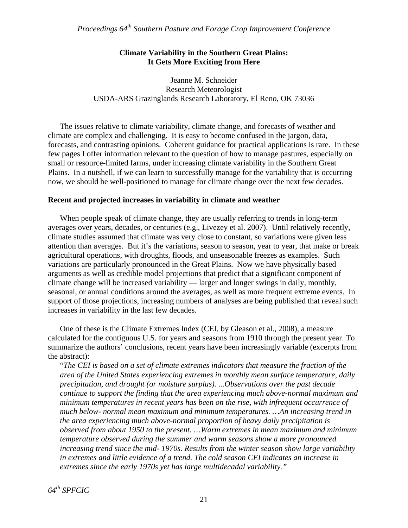### **Climate Variability in the Southern Great Plains: It Gets More Exciting from Here**

Jeanne M. Schneider Research Meteorologist USDA-ARS Grazinglands Research Laboratory, El Reno, OK 73036

The issues relative to climate variability, climate change, and forecasts of weather and climate are complex and challenging. It is easy to become confused in the jargon, data, forecasts, and contrasting opinions. Coherent guidance for practical applications is rare. In these few pages I offer information relevant to the question of how to manage pastures, especially on small or resource-limited farms, under increasing climate variability in the Southern Great Plains. In a nutshell, if we can learn to successfully manage for the variability that is occurring now, we should be well-positioned to manage for climate change over the next few decades.

#### **Recent and projected increases in variability in climate and weather**

 When people speak of climate change, they are usually referring to trends in long-term averages over years, decades, or centuries (e.g., Livezey et al. 2007). Until relatively recently, climate studies assumed that climate was very close to constant, so variations were given less attention than averages. But it's the variations, season to season, year to year, that make or break agricultural operations, with droughts, floods, and unseasonable freezes as examples. Such variations are particularly pronounced in the Great Plains. Now we have physically based arguments as well as credible model projections that predict that a significant component of climate change will be increased variability — larger and longer swings in daily, monthly, seasonal, or annual conditions around the averages, as well as more frequent extreme events. In support of those projections, increasing numbers of analyses are being published that reveal such increases in variability in the last few decades.

 One of these is the Climate Extremes Index (CEI, by Gleason et al., 2008), a measure calculated for the contiguous U.S. for years and seasons from 1910 through the present year. To summarize the authors' conclusions, recent years have been increasingly variable (excerpts from the abstract):

"*The CEI is based on a set of climate extremes indicators that measure the fraction of the area of the United States experiencing extremes in monthly mean surface temperature, daily precipitation, and drought (or moisture surplus). ...Observations over the past decade continue to support the finding that the area experiencing much above-normal maximum and minimum temperatures in recent years has been on the rise, with infrequent occurrence of much below- normal mean maximum and minimum temperatures. …An increasing trend in the area experiencing much above-normal proportion of heavy daily precipitation is observed from about 1950 to the present. …Warm extremes in mean maximum and minimum temperature observed during the summer and warm seasons show a more pronounced increasing trend since the mid- 1970s. Results from the winter season show large variability in extremes and little evidence of a trend. The cold season CEI indicates an increase in extremes since the early 1970s yet has large multidecadal variability."*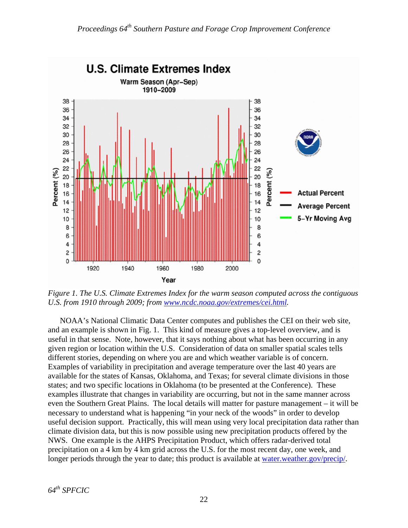

*Figure 1. The U.S. Climate Extremes Index for the warm season computed across the contiguous U.S. from 1910 through 2009; from [www.ncdc.noaa.gov/extremes/cei.html.](http://www.ncdc.noaa.gov/extremes/cei.html)* 

 NOAA's National Climatic Data Center computes and publishes the CEI on their web site, and an example is shown in Fig. 1. This kind of measure gives a top-level overview, and is useful in that sense. Note, however, that it says nothing about what has been occurring in any given region or location within the U.S. Consideration of data on smaller spatial scales tells different stories, depending on where you are and which weather variable is of concern. Examples of variability in precipitation and average temperature over the last 40 years are available for the states of Kansas, Oklahoma, and Texas; for several climate divisions in those states; and two specific locations in Oklahoma (to be presented at the Conference). These examples illustrate that changes in variability are occurring, but not in the same manner across even the Southern Great Plains. The local details will matter for pasture management – it will be necessary to understand what is happening "in your neck of the woods" in order to develop useful decision support. Practically, this will mean using very local precipitation data rather than climate division data, but this is now possible using new precipitation products offered by the NWS. One example is the AHPS Precipitation Product, which offers radar-derived total precipitation on a 4 km by 4 km grid across the U.S. for the most recent day, one week, and longer periods through the year to date; this product is available at water.weather.gov/precip/.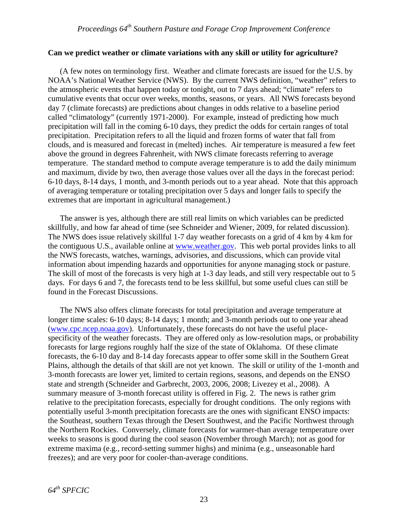#### **Can we predict weather or climate variations with any skill or utility for agriculture?**

 (A few notes on terminology first. Weather and climate forecasts are issued for the U.S. by NOAA's National Weather Service (NWS). By the current NWS definition, "weather" refers to the atmospheric events that happen today or tonight, out to 7 days ahead; "climate" refers to cumulative events that occur over weeks, months, seasons, or years. All NWS forecasts beyond day 7 (climate forecasts) are predictions about changes in odds relative to a baseline period called "climatology" (currently 1971-2000). For example, instead of predicting how much precipitation will fall in the coming 6-10 days, they predict the odds for certain ranges of total precipitation. Precipitation refers to all the liquid and frozen forms of water that fall from clouds, and is measured and forecast in (melted) inches. Air temperature is measured a few feet above the ground in degrees Fahrenheit, with NWS climate forecasts referring to average temperature. The standard method to compute average temperature is to add the daily minimum and maximum, divide by two, then average those values over all the days in the forecast period: 6-10 days, 8-14 days, 1 month, and 3-month periods out to a year ahead. Note that this approach of averaging temperature or totaling precipitation over 5 days and longer fails to specify the extremes that are important in agricultural management.)

 The answer is yes, although there are still real limits on which variables can be predicted skillfully, and how far ahead of time (see Schneider and Wiener, 2009, for related discussion). The NWS does issue relatively skillful 1-7 day weather forecasts on a grid of 4 km by 4 km for the contiguous U.S., available online at [www.weather.gov.](http://www.weather.gov/) This web portal provides links to all the NWS forecasts, watches, warnings, advisories, and discussions, which can provide vital information about impending hazards and opportunities for anyone managing stock or pasture. The skill of most of the forecasts is very high at 1-3 day leads, and still very respectable out to 5 days. For days 6 and 7, the forecasts tend to be less skillful, but some useful clues can still be found in the Forecast Discussions.

 The NWS also offers climate forecasts for total precipitation and average temperature at longer time scales: 6-10 days; 8-14 days; 1 month; and 3-month periods out to one year ahead ([www.cpc.ncep.noaa.gov\)](http://www.cpc.ncep.noaa.gov/). Unfortunately, these forecasts do not have the useful placespecificity of the weather forecasts. They are offered only as low-resolution maps, or probability forecasts for large regions roughly half the size of the state of Oklahoma. Of these climate forecasts, the 6-10 day and 8-14 day forecasts appear to offer some skill in the Southern Great Plains, although the details of that skill are not yet known. The skill or utility of the 1-month and 3-month forecasts are lower yet, limited to certain regions, seasons, and depends on the ENSO state and strength (Schneider and Garbrecht, 2003, 2006, 2008; Livezey et al., 2008). A summary measure of 3-month forecast utility is offered in Fig. 2. The news is rather grim relative to the precipitation forecasts, especially for drought conditions. The only regions with potentially useful 3-month precipitation forecasts are the ones with significant ENSO impacts: the Southeast, southern Texas through the Desert Southwest, and the Pacific Northwest through the Northern Rockies. Conversely, climate forecasts for warmer-than average temperature over weeks to seasons is good during the cool season (November through March); not as good for extreme maxima (e.g., record-setting summer highs) and minima (e.g., unseasonable hard freezes); and are very poor for cooler-than-average conditions.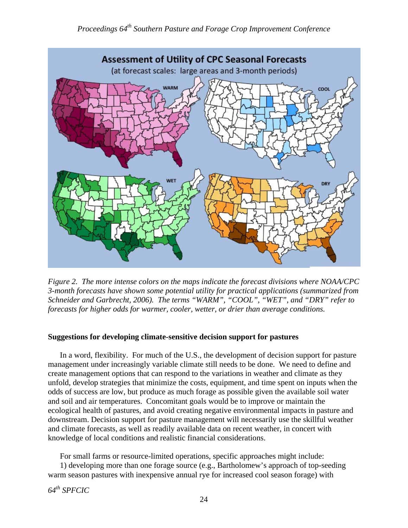

*Figure 2. The more intense colors on the maps indicate the forecast divisions where NOAA/CPC 3-month forecasts have shown some potential utility for practical applications (summarized from Schneider and Garbrecht, 2006). The terms "WARM", "COOL", "WET", and "DRY" refer to forecasts for higher odds for warmer, cooler, wetter, or drier than average conditions.* 

### **Suggestions for developing climate-sensitive decision support for pastures**

 In a word, flexibility. For much of the U.S., the development of decision support for pasture management under increasingly variable climate still needs to be done. We need to define and create management options that can respond to the variations in weather and climate as they unfold, develop strategies that minimize the costs, equipment, and time spent on inputs when the odds of success are low, but produce as much forage as possible given the available soil water and soil and air temperatures. Concomitant goals would be to improve or maintain the ecological health of pastures, and avoid creating negative environmental impacts in pasture and downstream. Decision support for pasture management will necessarily use the skillful weather and climate forecasts, as well as readily available data on recent weather, in concert with knowledge of local conditions and realistic financial considerations.

For small farms or resource-limited operations, specific approaches might include:

 1) developing more than one forage source (e.g., Bartholomew's approach of top-seeding warm season pastures with inexpensive annual rye for increased cool season forage) with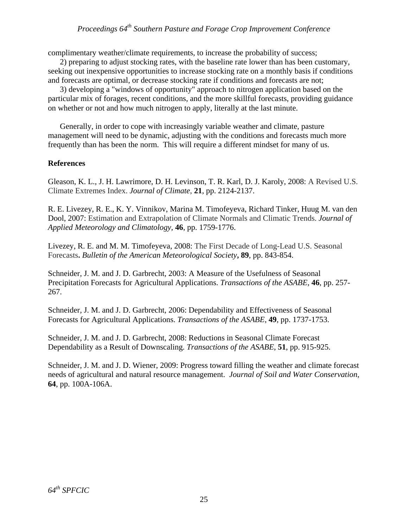complimentary weather/climate requirements, to increase the probability of success;

 2) preparing to adjust stocking rates, with the baseline rate lower than has been customary, seeking out inexpensive opportunities to increase stocking rate on a monthly basis if conditions and forecasts are optimal, or decrease stocking rate if conditions and forecasts are not;

 3) developing a "windows of opportunity" approach to nitrogen application based on the particular mix of forages, recent conditions, and the more skillful forecasts, providing guidance on whether or not and how much nitrogen to apply, literally at the last minute.

 Generally, in order to cope with increasingly variable weather and climate, pasture management will need to be dynamic, adjusting with the conditions and forecasts much more frequently than has been the norm. This will require a different mindset for many of us.

#### **References**

Gleason, K. L., J. H. Lawrimore, D. H. Levinson, T. R. Karl, D. J. Karoly, 2008: A Revised U.S. Climate Extremes Index. *Journal of Climate*, **21**, pp. 2124-2137.

R. E. Livezey, R. E., K. Y. Vinnikov, Marina M. Timofeyeva, Richard Tinker, Huug M. van den Dool, 2007: Estimation and Extrapolation of Climate Normals and Climatic Trends. *Journal of Applied Meteorology and Climatology,* **46**, pp. 1759-1776.

Livezey, R. E. and M. M. Timofeyeva, 2008: The First Decade of Long-Lead U.S. Seasonal Forecasts**.** *Bulletin of the American Meteorological Society***, 89**, pp. 843-854.

Schneider, J. M. and J. D. Garbrecht, 2003: A Measure of the Usefulness of Seasonal Precipitation Forecasts for Agricultural Applications. *Transactions of the ASABE*, **46**, pp. 257- 267.

Schneider, J. M. and J. D. Garbrecht, 2006: [Dependability and Effectiveness of Seasonal](http://asae.frymulti.com/azdez.asp?search=1&JID=3&AID=22296&CID=t2006&v=49&i=6&T=1)  [Forecasts for Agricultural Applications](http://asae.frymulti.com/azdez.asp?search=1&JID=3&AID=22296&CID=t2006&v=49&i=6&T=1). *Transactions of the ASABE*, **49**, pp. 1737-1753.

Schneider, J. M. and J. D. Garbrecht, 2008: [Reductions in Seasonal Climate Forecast](http://asae.frymulti.com/azdez.asp?search=1&JID=3&AID=24530&CID=t2008&v=51&i=3&T=1)  [Dependability as a Result of Downscaling](http://asae.frymulti.com/azdez.asp?search=1&JID=3&AID=24530&CID=t2008&v=51&i=3&T=1). *Transactions of the ASABE*, **51**, pp. 915-925.

Schneider, J. M. and J. D. Wiener, 2009: Progress toward filling the weather and climate forecast needs of agricultural and natural resource management. *Journal of Soil and Water Conservation*, **64**, pp. 100A-106A.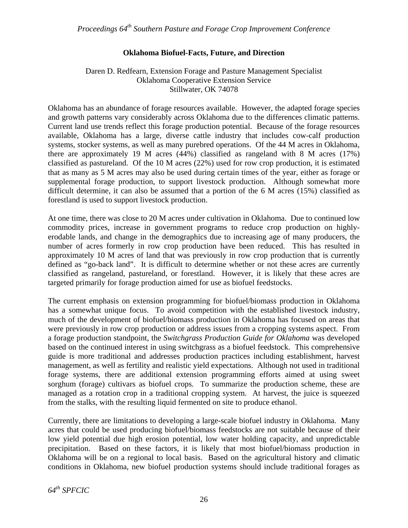### **Oklahoma Biofuel-Facts, Future, and Direction**

### Daren D. Redfearn, Extension Forage and Pasture Management Specialist Oklahoma Cooperative Extension Service Stillwater, OK 74078

Oklahoma has an abundance of forage resources available. However, the adapted forage species and growth patterns vary considerably across Oklahoma due to the differences climatic patterns. Current land use trends reflect this forage production potential. Because of the forage resources available, Oklahoma has a large, diverse cattle industry that includes cow-calf production systems, stocker systems, as well as many purebred operations. Of the 44 M acres in Oklahoma, there are approximately 19 M acres (44%) classified as rangeland with 8 M acres (17%) classified as pastureland. Of the 10 M acres (22%) used for row crop production, it is estimated that as many as 5 M acres may also be used during certain times of the year, either as forage or supplemental forage production, to support livestock production. Although somewhat more difficult determine, it can also be assumed that a portion of the 6 M acres (15%) classified as forestland is used to support livestock production.

At one time, there was close to 20 M acres under cultivation in Oklahoma. Due to continued low commodity prices, increase in government programs to reduce crop production on highlyerodable lands, and change in the demographics due to increasing age of many producers, the number of acres formerly in row crop production have been reduced. This has resulted in approximately 10 M acres of land that was previously in row crop production that is currently defined as "go-back land". It is difficult to determine whether or not these acres are currently classified as rangeland, pastureland, or forestland. However, it is likely that these acres are targeted primarily for forage production aimed for use as biofuel feedstocks.

The current emphasis on extension programming for biofuel/biomass production in Oklahoma has a somewhat unique focus. To avoid competition with the established livestock industry, much of the development of biofuel/biomass production in Oklahoma has focused on areas that were previously in row crop production or address issues from a cropping systems aspect. From a forage production standpoint, the *Switchgrass Production Guide for Oklahoma* was developed based on the continued interest in using switchgrass as a biofuel feedstock. This comprehensive guide is more traditional and addresses production practices including establishment, harvest management, as well as fertility and realistic yield expectations. Although not used in traditional forage systems, there are additional extension programming efforts aimed at using sweet sorghum (forage) cultivars as biofuel crops. To summarize the production scheme, these are managed as a rotation crop in a traditional cropping system. At harvest, the juice is squeezed from the stalks, with the resulting liquid fermented on site to produce ethanol.

Currently, there are limitations to developing a large-scale biofuel industry in Oklahoma. Many acres that could be used producing biofuel/biomass feedstocks are not suitable because of their low yield potential due high erosion potential, low water holding capacity, and unpredictable precipitation. Based on these factors, it is likely that most biofuel/biomass production in Oklahoma will be on a regional to local basis. Based on the agricultural history and climatic conditions in Oklahoma, new biofuel production systems should include traditional forages as